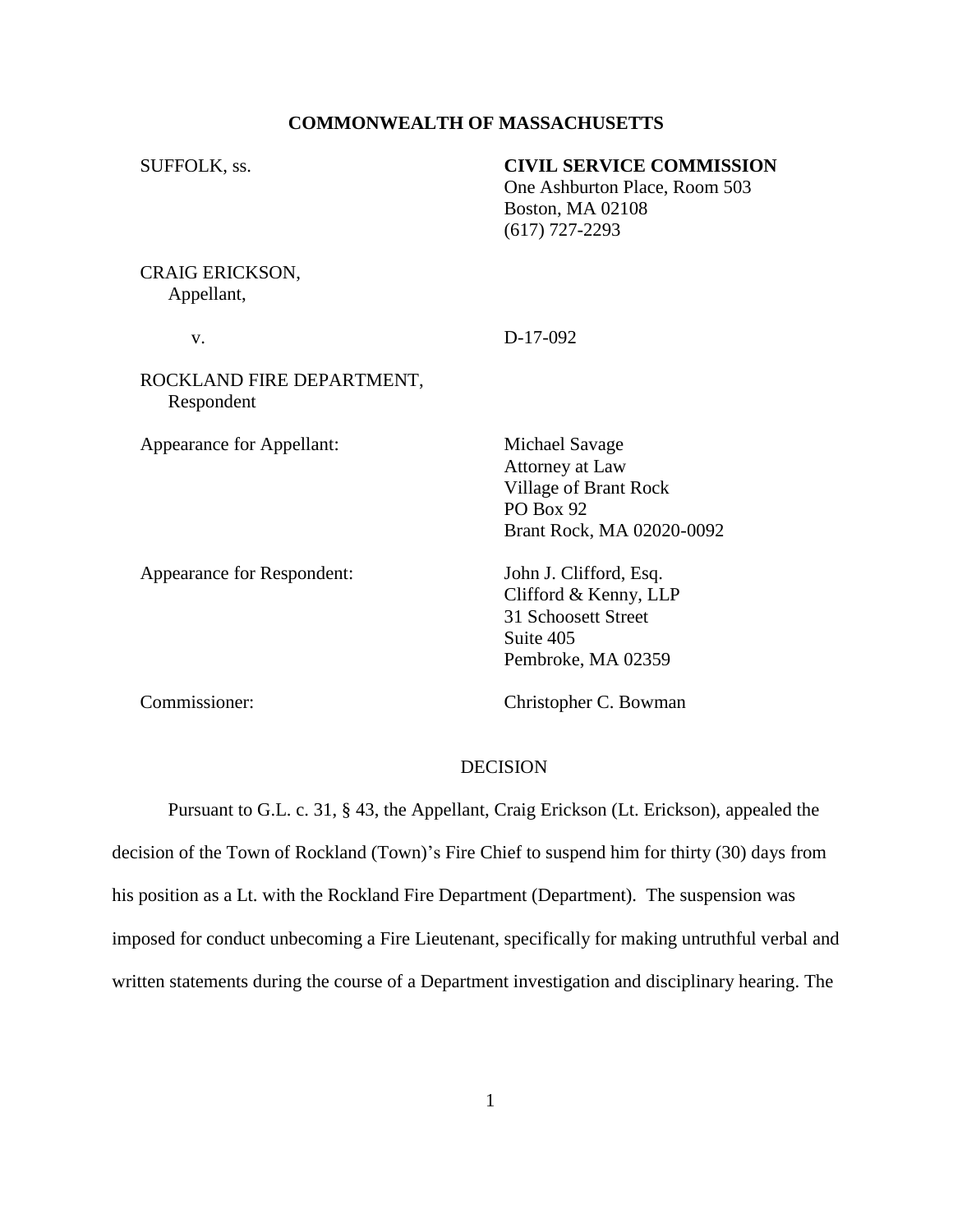# **COMMONWEALTH OF MASSACHUSETTS**

| <b>CIVIL SERVICE COMMISSION</b><br>One Ashburton Place, Room 503<br><b>Boston, MA 02108</b><br>$(617)$ 727-2293 |
|-----------------------------------------------------------------------------------------------------------------|
|                                                                                                                 |
| D-17-092                                                                                                        |
|                                                                                                                 |
| Michael Savage<br>Attorney at Law<br>Village of Brant Rock<br>PO Box 92<br>Brant Rock, MA 02020-0092            |
| John J. Clifford, Esq.<br>Clifford & Kenny, LLP<br>31 Schoosett Street<br>Suite 405<br>Pembroke, MA 02359       |
|                                                                                                                 |

Commissioner: Christopher C. Bowman

## DECISION

Pursuant to G.L. c. 31, § 43, the Appellant, Craig Erickson (Lt. Erickson), appealed the decision of the Town of Rockland (Town)'s Fire Chief to suspend him for thirty (30) days from his position as a Lt. with the Rockland Fire Department (Department). The suspension was imposed for conduct unbecoming a Fire Lieutenant, specifically for making untruthful verbal and written statements during the course of a Department investigation and disciplinary hearing. The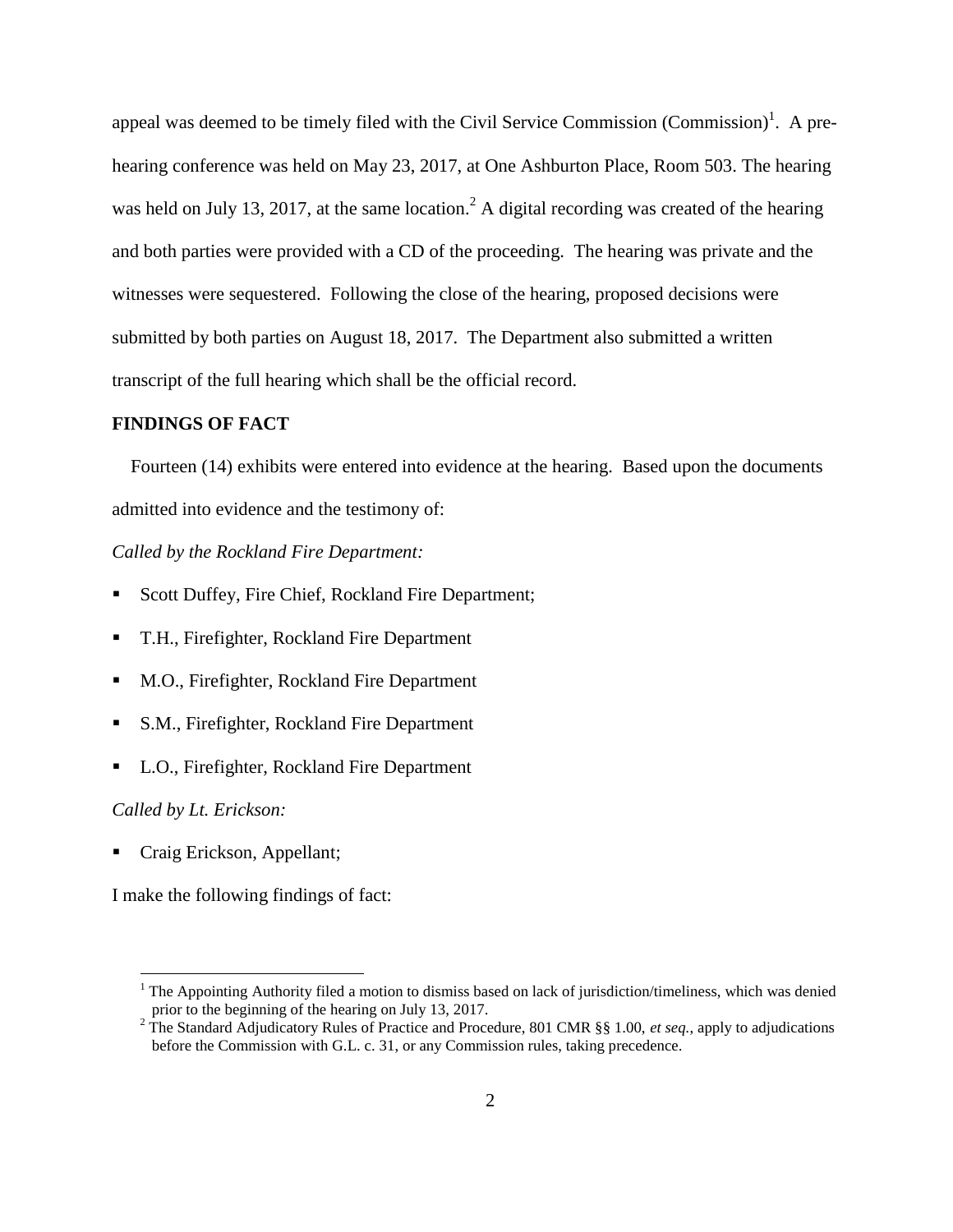appeal was deemed to be timely filed with the Civil Service Commission (Commission)<sup>1</sup>. A prehearing conference was held on May 23, 2017, at One Ashburton Place, Room 503. The hearing was held on July 13, 2017, at the same location.<sup>2</sup> A digital recording was created of the hearing and both parties were provided with a CD of the proceeding. The hearing was private and the witnesses were sequestered. Following the close of the hearing, proposed decisions were submitted by both parties on August 18, 2017. The Department also submitted a written transcript of the full hearing which shall be the official record.

### **FINDINGS OF FACT**

 Fourteen (14) exhibits were entered into evidence at the hearing. Based upon the documents admitted into evidence and the testimony of:

#### *Called by the Rockland Fire Department:*

- Scott Duffey, Fire Chief, Rockland Fire Department;
- T.H., Firefighter, Rockland Fire Department
- M.O., Firefighter, Rockland Fire Department
- S.M., Firefighter, Rockland Fire Department
- L.O., Firefighter, Rockland Fire Department

### *Called by Lt. Erickson:*

 $\overline{a}$ 

Craig Erickson, Appellant;

I make the following findings of fact:

<sup>1</sup> The Appointing Authority filed a motion to dismiss based on lack of jurisdiction/timeliness, which was denied prior to the beginning of the hearing on July 13, 2017.

<sup>2</sup> The Standard Adjudicatory Rules of Practice and Procedure, 801 CMR §§ 1.00, *et seq.*, apply to adjudications before the Commission with G.L. c. 31, or any Commission rules, taking precedence.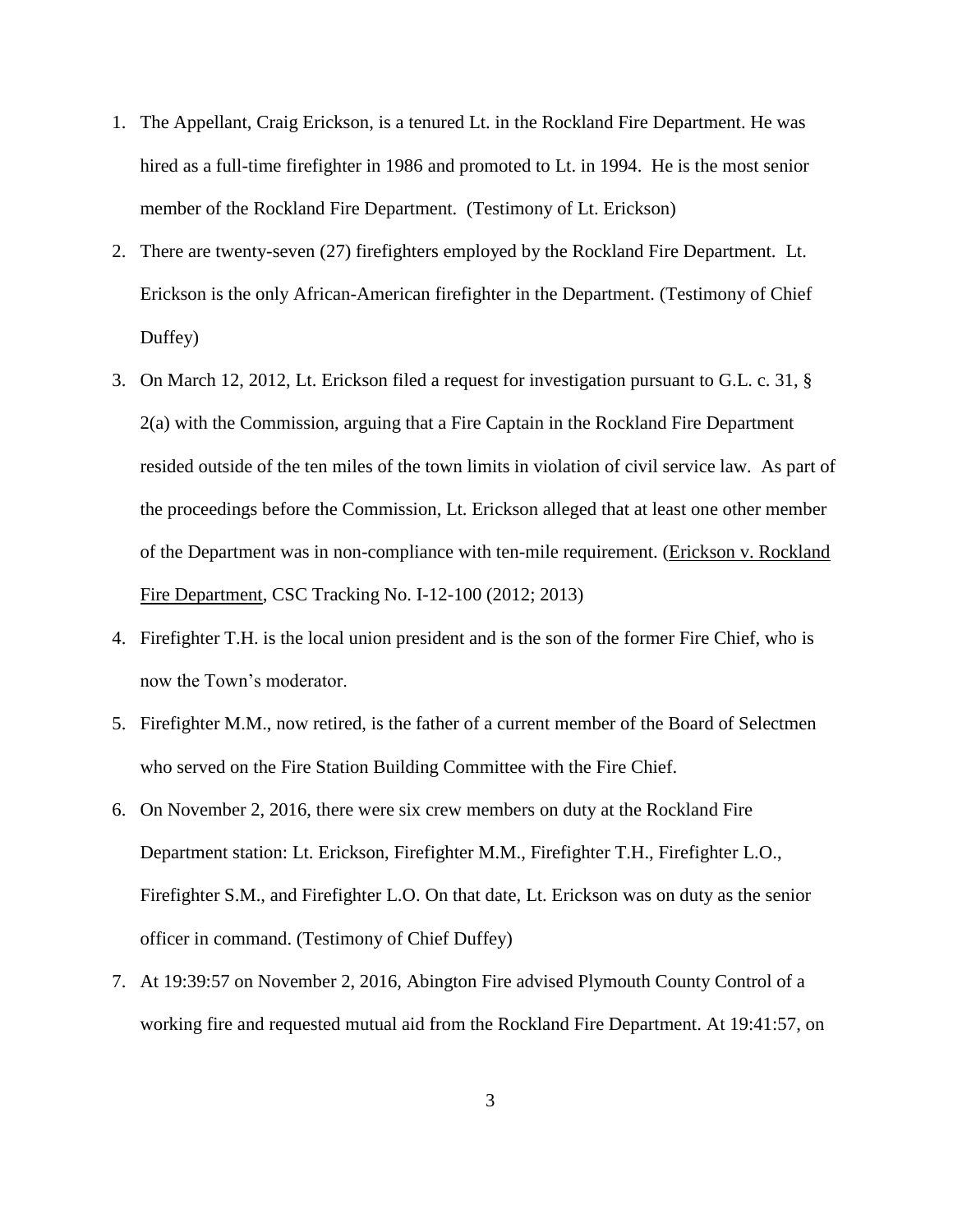- 1. The Appellant, Craig Erickson, is a tenured Lt. in the Rockland Fire Department. He was hired as a full-time firefighter in 1986 and promoted to Lt. in 1994. He is the most senior member of the Rockland Fire Department. (Testimony of Lt. Erickson)
- 2. There are twenty-seven (27) firefighters employed by the Rockland Fire Department. Lt. Erickson is the only African-American firefighter in the Department. (Testimony of Chief Duffey)
- 3. On March 12, 2012, Lt. Erickson filed a request for investigation pursuant to G.L. c. 31, § 2(a) with the Commission, arguing that a Fire Captain in the Rockland Fire Department resided outside of the ten miles of the town limits in violation of civil service law. As part of the proceedings before the Commission, Lt. Erickson alleged that at least one other member of the Department was in non-compliance with ten-mile requirement. (Erickson v. Rockland Fire Department, CSC Tracking No. I-12-100 (2012; 2013)
- 4. Firefighter T.H. is the local union president and is the son of the former Fire Chief, who is now the Town's moderator.
- 5. Firefighter M.M., now retired, is the father of a current member of the Board of Selectmen who served on the Fire Station Building Committee with the Fire Chief.
- 6. On November 2, 2016, there were six crew members on duty at the Rockland Fire Department station: Lt. Erickson, Firefighter M.M., Firefighter T.H., Firefighter L.O., Firefighter S.M., and Firefighter L.O. On that date, Lt. Erickson was on duty as the senior officer in command. (Testimony of Chief Duffey)
- 7. At 19:39:57 on November 2, 2016, Abington Fire advised Plymouth County Control of a working fire and requested mutual aid from the Rockland Fire Department. At 19:41:57, on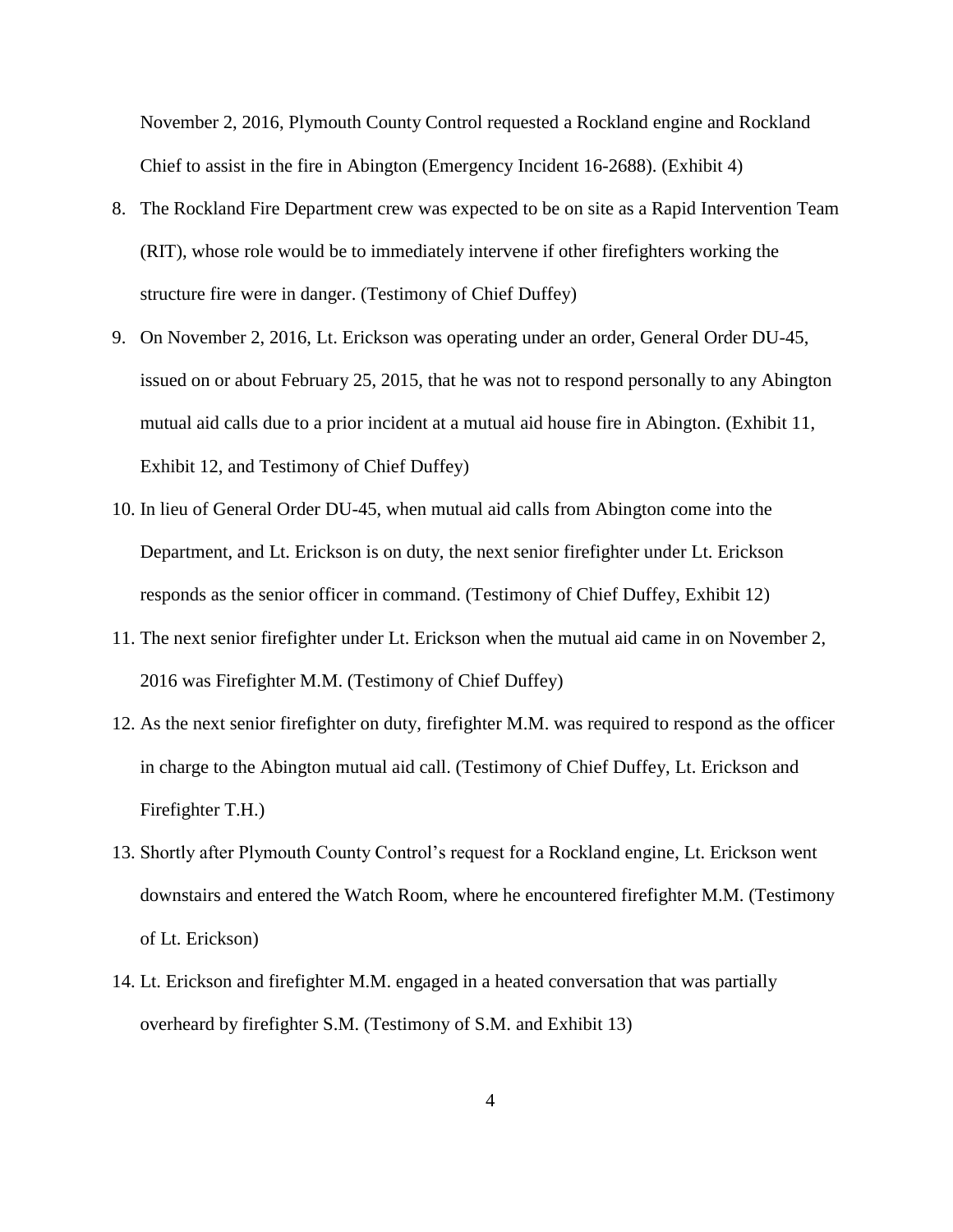November 2, 2016, Plymouth County Control requested a Rockland engine and Rockland Chief to assist in the fire in Abington (Emergency Incident 16-2688). (Exhibit 4)

- 8. The Rockland Fire Department crew was expected to be on site as a Rapid Intervention Team (RIT), whose role would be to immediately intervene if other firefighters working the structure fire were in danger. (Testimony of Chief Duffey)
- 9. On November 2, 2016, Lt. Erickson was operating under an order, General Order DU-45, issued on or about February 25, 2015, that he was not to respond personally to any Abington mutual aid calls due to a prior incident at a mutual aid house fire in Abington. (Exhibit 11, Exhibit 12, and Testimony of Chief Duffey)
- 10. In lieu of General Order DU-45, when mutual aid calls from Abington come into the Department, and Lt. Erickson is on duty, the next senior firefighter under Lt. Erickson responds as the senior officer in command. (Testimony of Chief Duffey, Exhibit 12)
- 11. The next senior firefighter under Lt. Erickson when the mutual aid came in on November 2, 2016 was Firefighter M.M. (Testimony of Chief Duffey)
- 12. As the next senior firefighter on duty, firefighter M.M. was required to respond as the officer in charge to the Abington mutual aid call. (Testimony of Chief Duffey, Lt. Erickson and Firefighter T.H.)
- 13. Shortly after Plymouth County Control's request for a Rockland engine, Lt. Erickson went downstairs and entered the Watch Room, where he encountered firefighter M.M. (Testimony of Lt. Erickson)
- 14. Lt. Erickson and firefighter M.M. engaged in a heated conversation that was partially overheard by firefighter S.M. (Testimony of S.M. and Exhibit 13)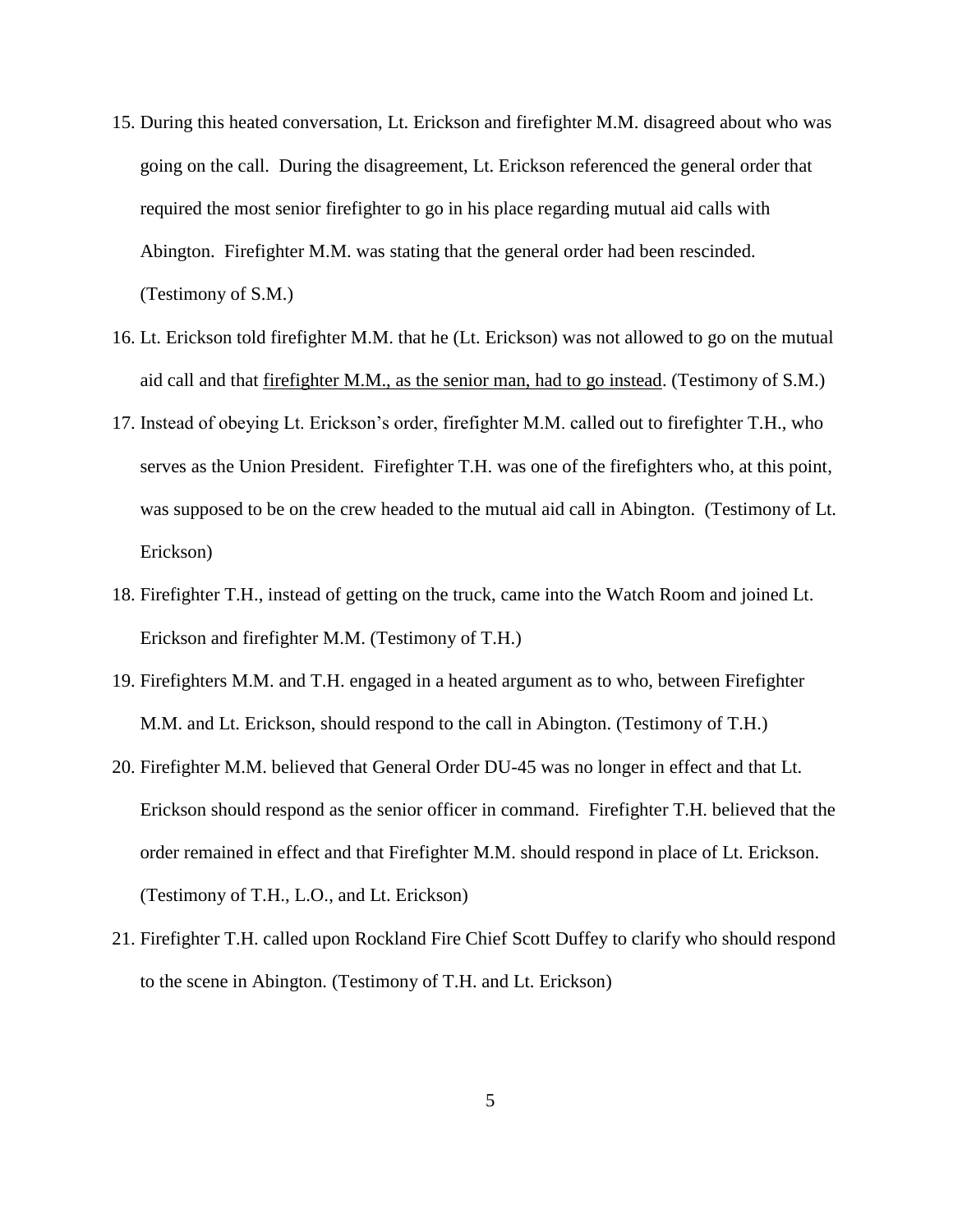- 15. During this heated conversation, Lt. Erickson and firefighter M.M. disagreed about who was going on the call. During the disagreement, Lt. Erickson referenced the general order that required the most senior firefighter to go in his place regarding mutual aid calls with Abington. Firefighter M.M. was stating that the general order had been rescinded. (Testimony of S.M.)
- 16. Lt. Erickson told firefighter M.M. that he (Lt. Erickson) was not allowed to go on the mutual aid call and that firefighter M.M., as the senior man, had to go instead. (Testimony of S.M.)
- 17. Instead of obeying Lt. Erickson's order, firefighter M.M. called out to firefighter T.H., who serves as the Union President. Firefighter T.H. was one of the firefighters who, at this point, was supposed to be on the crew headed to the mutual aid call in Abington. (Testimony of Lt. Erickson)
- 18. Firefighter T.H., instead of getting on the truck, came into the Watch Room and joined Lt. Erickson and firefighter M.M. (Testimony of T.H.)
- 19. Firefighters M.M. and T.H. engaged in a heated argument as to who, between Firefighter M.M. and Lt. Erickson, should respond to the call in Abington. (Testimony of T.H.)
- 20. Firefighter M.M. believed that General Order DU-45 was no longer in effect and that Lt. Erickson should respond as the senior officer in command. Firefighter T.H. believed that the order remained in effect and that Firefighter M.M. should respond in place of Lt. Erickson. (Testimony of T.H., L.O., and Lt. Erickson)
- 21. Firefighter T.H. called upon Rockland Fire Chief Scott Duffey to clarify who should respond to the scene in Abington. (Testimony of T.H. and Lt. Erickson)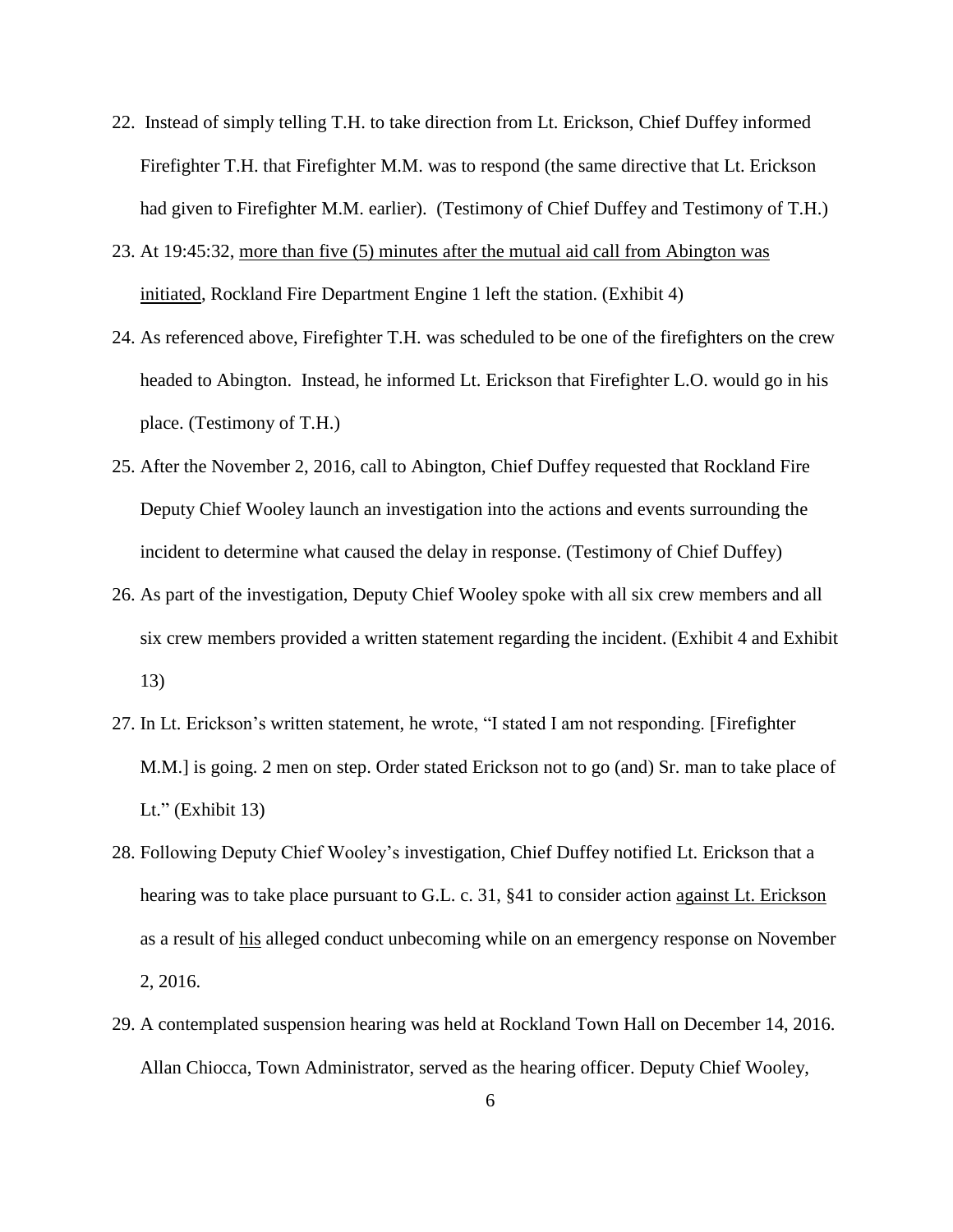- 22. Instead of simply telling T.H. to take direction from Lt. Erickson, Chief Duffey informed Firefighter T.H. that Firefighter M.M. was to respond (the same directive that Lt. Erickson had given to Firefighter M.M. earlier). (Testimony of Chief Duffey and Testimony of T.H.)
- 23. At 19:45:32, more than five (5) minutes after the mutual aid call from Abington was initiated, Rockland Fire Department Engine 1 left the station. (Exhibit 4)
- 24. As referenced above, Firefighter T.H. was scheduled to be one of the firefighters on the crew headed to Abington. Instead, he informed Lt. Erickson that Firefighter L.O. would go in his place. (Testimony of T.H.)
- 25. After the November 2, 2016, call to Abington, Chief Duffey requested that Rockland Fire Deputy Chief Wooley launch an investigation into the actions and events surrounding the incident to determine what caused the delay in response. (Testimony of Chief Duffey)
- 26. As part of the investigation, Deputy Chief Wooley spoke with all six crew members and all six crew members provided a written statement regarding the incident. (Exhibit 4 and Exhibit 13)
- 27. In Lt. Erickson's written statement, he wrote, "I stated I am not responding. [Firefighter M.M.] is going. 2 men on step. Order stated Erickson not to go (and) Sr. man to take place of Lt." (Exhibit 13)
- 28. Following Deputy Chief Wooley's investigation, Chief Duffey notified Lt. Erickson that a hearing was to take place pursuant to G.L. c. 31, §41 to consider action against Lt. Erickson as a result of his alleged conduct unbecoming while on an emergency response on November 2, 2016.
- 29. A contemplated suspension hearing was held at Rockland Town Hall on December 14, 2016. Allan Chiocca, Town Administrator, served as the hearing officer. Deputy Chief Wooley,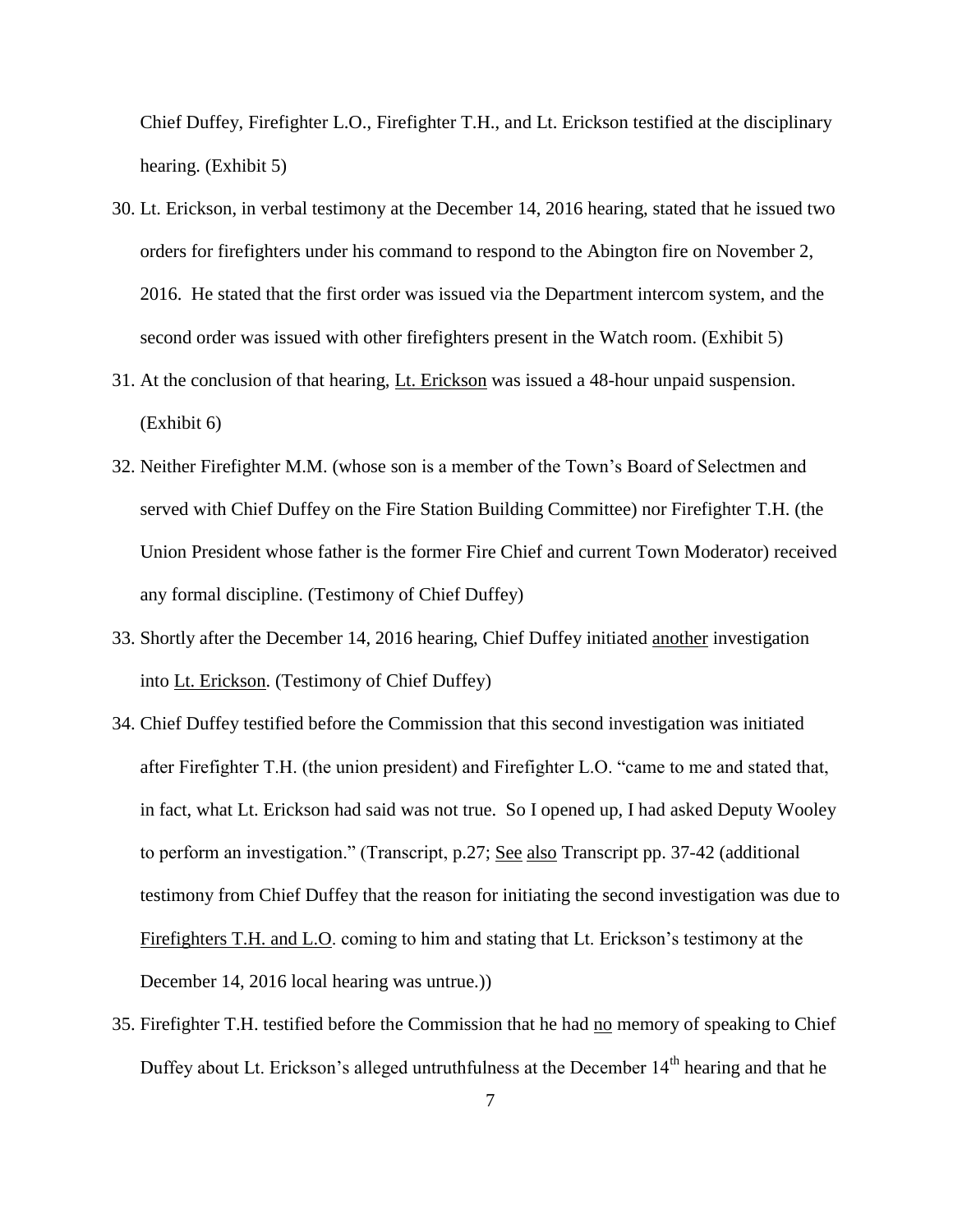Chief Duffey, Firefighter L.O., Firefighter T.H., and Lt. Erickson testified at the disciplinary hearing. (Exhibit 5)

- 30. Lt. Erickson, in verbal testimony at the December 14, 2016 hearing, stated that he issued two orders for firefighters under his command to respond to the Abington fire on November 2, 2016. He stated that the first order was issued via the Department intercom system, and the second order was issued with other firefighters present in the Watch room. (Exhibit 5)
- 31. At the conclusion of that hearing, Lt. Erickson was issued a 48-hour unpaid suspension. (Exhibit 6)
- 32. Neither Firefighter M.M. (whose son is a member of the Town's Board of Selectmen and served with Chief Duffey on the Fire Station Building Committee) nor Firefighter T.H. (the Union President whose father is the former Fire Chief and current Town Moderator) received any formal discipline. (Testimony of Chief Duffey)
- 33. Shortly after the December 14, 2016 hearing, Chief Duffey initiated another investigation into Lt. Erickson. (Testimony of Chief Duffey)
- 34. Chief Duffey testified before the Commission that this second investigation was initiated after Firefighter T.H. (the union president) and Firefighter L.O. "came to me and stated that, in fact, what Lt. Erickson had said was not true. So I opened up, I had asked Deputy Wooley to perform an investigation." (Transcript, p.27; See also Transcript pp. 37-42 (additional testimony from Chief Duffey that the reason for initiating the second investigation was due to Firefighters T.H. and L.O. coming to him and stating that Lt. Erickson's testimony at the December 14, 2016 local hearing was untrue.))
- 35. Firefighter T.H. testified before the Commission that he had no memory of speaking to Chief Duffey about Lt. Erickson's alleged untruthfulness at the December 14<sup>th</sup> hearing and that he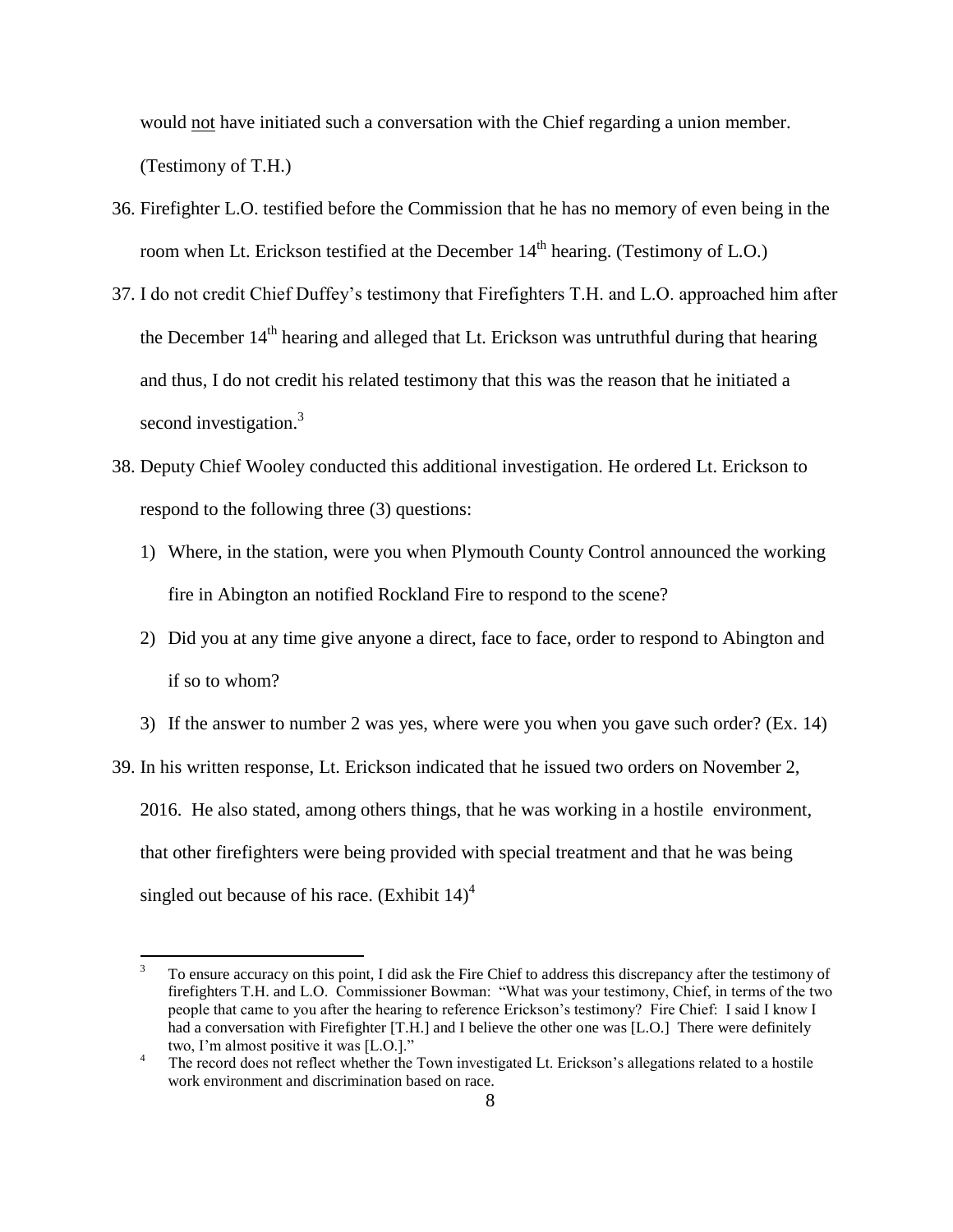would not have initiated such a conversation with the Chief regarding a union member. (Testimony of T.H.)

- 36. Firefighter L.O. testified before the Commission that he has no memory of even being in the room when Lt. Erickson testified at the December  $14<sup>th</sup>$  hearing. (Testimony of L.O.)
- 37. I do not credit Chief Duffey's testimony that Firefighters T.H. and L.O. approached him after the December  $14<sup>th</sup>$  hearing and alleged that Lt. Erickson was untruthful during that hearing and thus, I do not credit his related testimony that this was the reason that he initiated a second investigation.<sup>3</sup>
- 38. Deputy Chief Wooley conducted this additional investigation. He ordered Lt. Erickson to respond to the following three (3) questions:
	- 1) Where, in the station, were you when Plymouth County Control announced the working fire in Abington an notified Rockland Fire to respond to the scene?
	- 2) Did you at any time give anyone a direct, face to face, order to respond to Abington and if so to whom?
	- 3) If the answer to number 2 was yes, where were you when you gave such order? (Ex. 14)

39. In his written response, Lt. Erickson indicated that he issued two orders on November 2,

2016. He also stated, among others things, that he was working in a hostile environment, that other firefighters were being provided with special treatment and that he was being singled out because of his race. (Exhibit  $14$ )<sup>4</sup>

 $\overline{\mathbf{3}}$ <sup>3</sup> To ensure accuracy on this point, I did ask the Fire Chief to address this discrepancy after the testimony of firefighters T.H. and L.O. Commissioner Bowman: "What was your testimony, Chief, in terms of the two people that came to you after the hearing to reference Erickson's testimony? Fire Chief: I said I know I had a conversation with Firefighter [T.H.] and I believe the other one was [L.O.] There were definitely two, I'm almost positive it was [L.O.]."

<sup>4</sup> The record does not reflect whether the Town investigated Lt. Erickson's allegations related to a hostile work environment and discrimination based on race.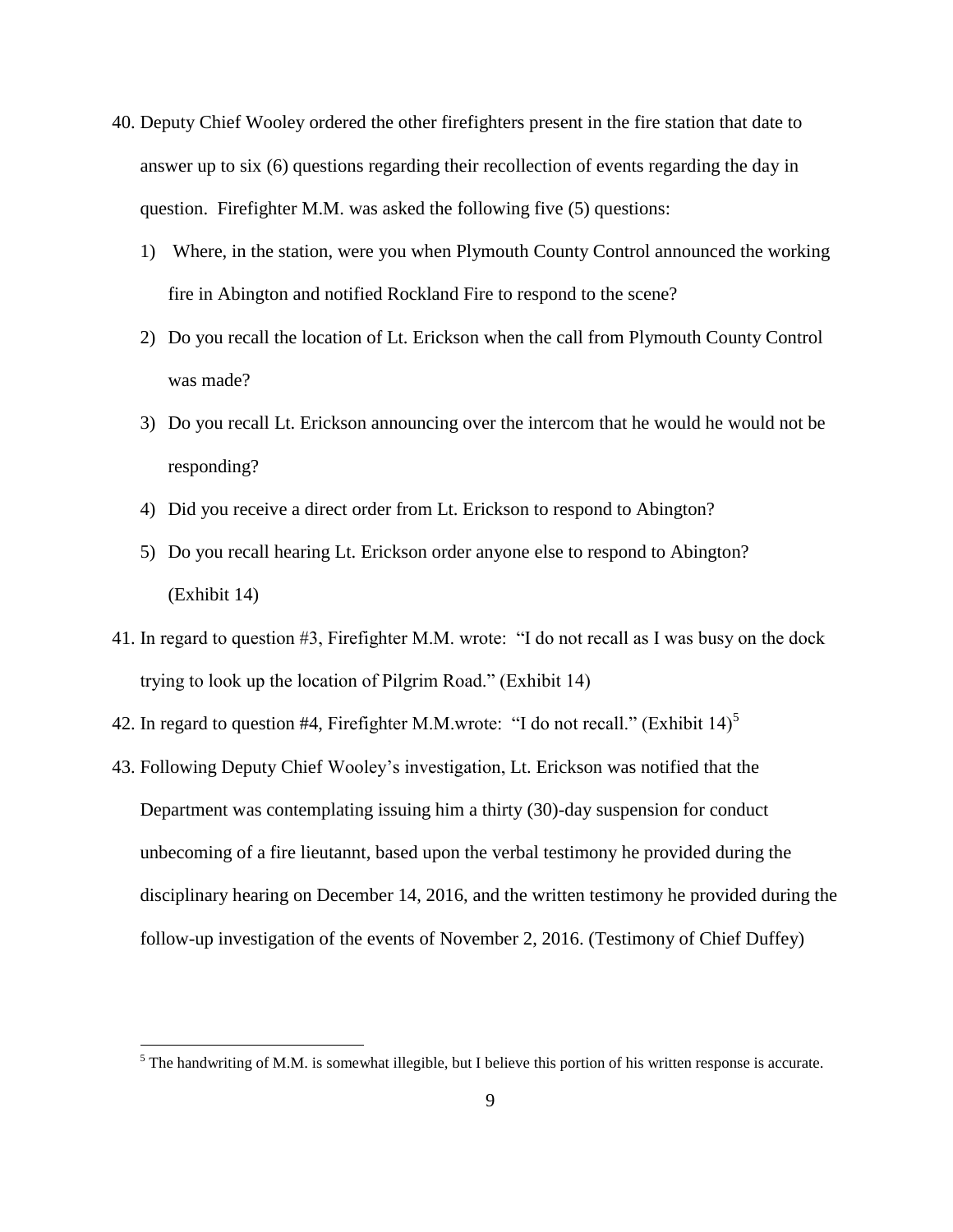- 40. Deputy Chief Wooley ordered the other firefighters present in the fire station that date to answer up to six (6) questions regarding their recollection of events regarding the day in question. Firefighter M.M. was asked the following five (5) questions:
	- 1) Where, in the station, were you when Plymouth County Control announced the working fire in Abington and notified Rockland Fire to respond to the scene?
	- 2) Do you recall the location of Lt. Erickson when the call from Plymouth County Control was made?
	- 3) Do you recall Lt. Erickson announcing over the intercom that he would he would not be responding?
	- 4) Did you receive a direct order from Lt. Erickson to respond to Abington?
	- 5) Do you recall hearing Lt. Erickson order anyone else to respond to Abington? (Exhibit 14)
- 41. In regard to question #3, Firefighter M.M. wrote: "I do not recall as I was busy on the dock trying to look up the location of Pilgrim Road." (Exhibit 14)
- 42. In regard to question #4, Firefighter M.M.wrote: "I do not recall." (Exhibit  $14$ )<sup>5</sup>
- 43. Following Deputy Chief Wooley's investigation, Lt. Erickson was notified that the Department was contemplating issuing him a thirty (30)-day suspension for conduct unbecoming of a fire lieutannt, based upon the verbal testimony he provided during the disciplinary hearing on December 14, 2016, and the written testimony he provided during the follow-up investigation of the events of November 2, 2016. (Testimony of Chief Duffey)

 $\overline{a}$ 

 $<sup>5</sup>$  The handwriting of M.M. is somewhat illegible, but I believe this portion of his written response is accurate.</sup>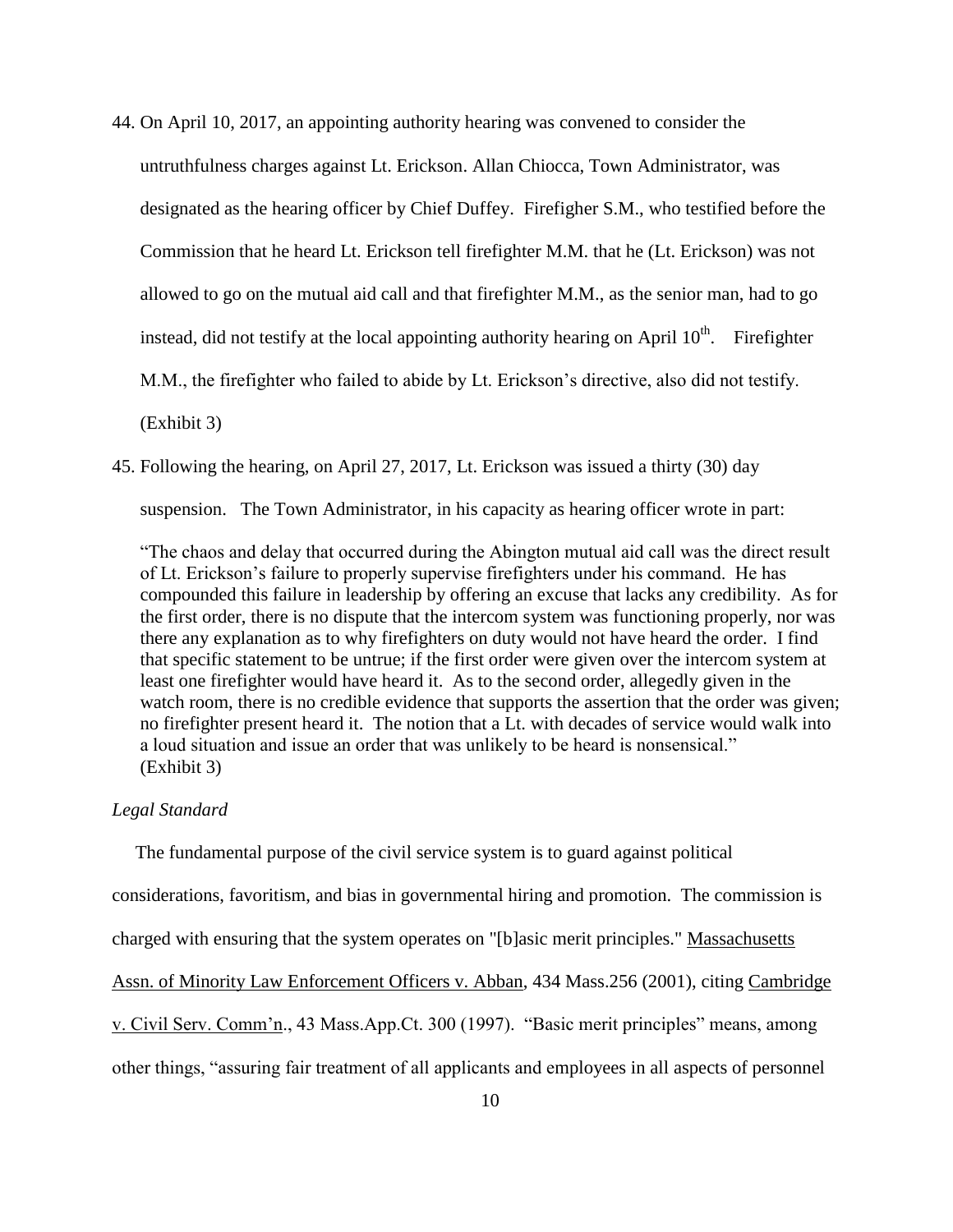- 44. On April 10, 2017, an appointing authority hearing was convened to consider the untruthfulness charges against Lt. Erickson. Allan Chiocca, Town Administrator, was designated as the hearing officer by Chief Duffey. Firefigher S.M., who testified before the Commission that he heard Lt. Erickson tell firefighter M.M. that he (Lt. Erickson) was not allowed to go on the mutual aid call and that firefighter M.M., as the senior man, had to go instead, did not testify at the local appointing authority hearing on April  $10^{th}$ . Firefighter M.M., the firefighter who failed to abide by Lt. Erickson's directive, also did not testify. (Exhibit 3)
- 45. Following the hearing, on April 27, 2017, Lt. Erickson was issued a thirty (30) day

suspension. The Town Administrator, in his capacity as hearing officer wrote in part:

"The chaos and delay that occurred during the Abington mutual aid call was the direct result of Lt. Erickson's failure to properly supervise firefighters under his command. He has compounded this failure in leadership by offering an excuse that lacks any credibility. As for the first order, there is no dispute that the intercom system was functioning properly, nor was there any explanation as to why firefighters on duty would not have heard the order. I find that specific statement to be untrue; if the first order were given over the intercom system at least one firefighter would have heard it. As to the second order, allegedly given in the watch room, there is no credible evidence that supports the assertion that the order was given; no firefighter present heard it. The notion that a Lt. with decades of service would walk into a loud situation and issue an order that was unlikely to be heard is nonsensical." (Exhibit 3)

#### *Legal Standard*

 The fundamental purpose of the civil service system is to guard against political considerations, favoritism, and bias in governmental hiring and promotion. The commission is charged with ensuring that the system operates on "[b]asic merit principles." Massachusetts Assn. of Minority Law Enforcement Officers v. Abban, 434 Mass.256 (2001), citing Cambridge v. Civil Serv. Comm'n., 43 Mass.App.Ct. 300 (1997). "Basic merit principles" means, among other things, "assuring fair treatment of all applicants and employees in all aspects of personnel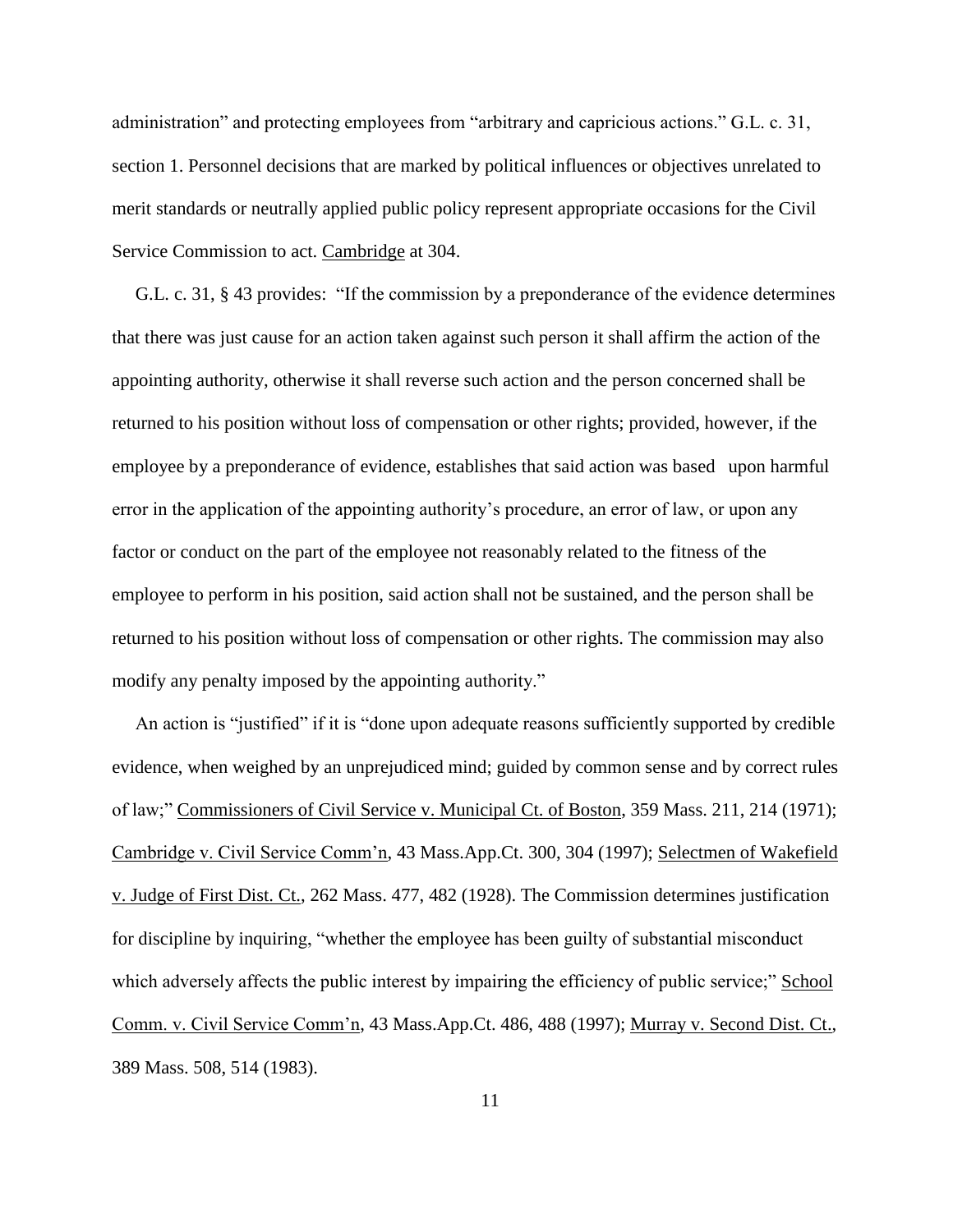administration" and protecting employees from "arbitrary and capricious actions." G.L. c. 31, section 1. Personnel decisions that are marked by political influences or objectives unrelated to merit standards or neutrally applied public policy represent appropriate occasions for the Civil Service Commission to act. Cambridge at 304.

 G.L. c. 31, § 43 provides: "If the commission by a preponderance of the evidence determines that there was just cause for an action taken against such person it shall affirm the action of the appointing authority, otherwise it shall reverse such action and the person concerned shall be returned to his position without loss of compensation or other rights; provided, however, if the employee by a preponderance of evidence, establishes that said action was based upon harmful error in the application of the appointing authority's procedure, an error of law, or upon any factor or conduct on the part of the employee not reasonably related to the fitness of the employee to perform in his position, said action shall not be sustained, and the person shall be returned to his position without loss of compensation or other rights. The commission may also modify any penalty imposed by the appointing authority."

 An action is "justified" if it is "done upon adequate reasons sufficiently supported by credible evidence, when weighed by an unprejudiced mind; guided by common sense and by correct rules of law;" Commissioners of Civil Service v. Municipal Ct. of Boston, 359 Mass. 211, 214 (1971); Cambridge v. Civil Service Comm'n, 43 Mass.App.Ct. 300, 304 (1997); Selectmen of Wakefield v. Judge of First Dist. Ct., 262 Mass. 477, 482 (1928). The Commission determines justification for discipline by inquiring, "whether the employee has been guilty of substantial misconduct which adversely affects the public interest by impairing the efficiency of public service;" School Comm. v. Civil Service Comm'n, 43 Mass.App.Ct. 486, 488 (1997); Murray v. Second Dist. Ct., 389 Mass. 508, 514 (1983).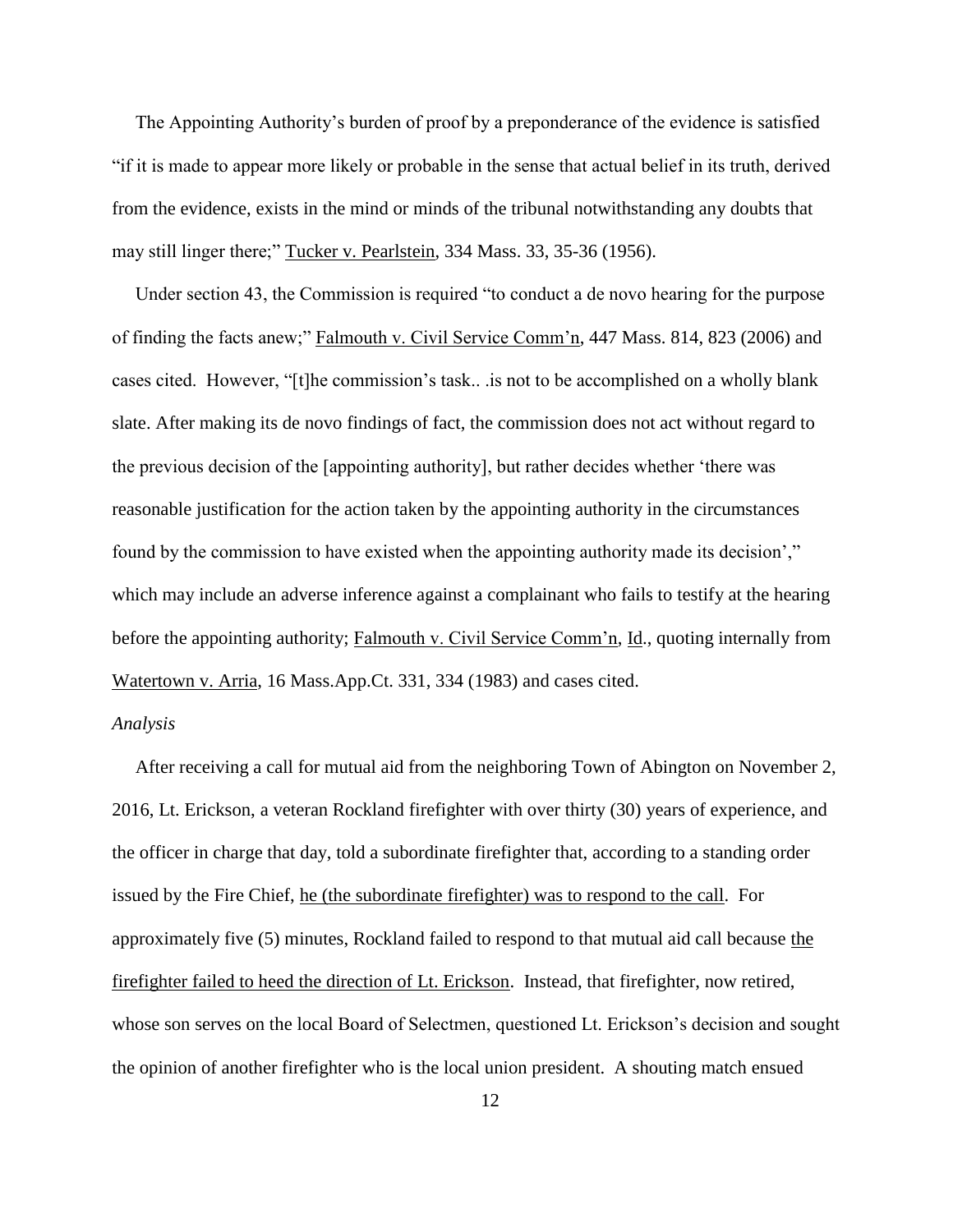The Appointing Authority's burden of proof by a preponderance of the evidence is satisfied "if it is made to appear more likely or probable in the sense that actual belief in its truth, derived from the evidence, exists in the mind or minds of the tribunal notwithstanding any doubts that may still linger there;" Tucker v. Pearlstein, 334 Mass. 33, 35-36 (1956).

 Under section 43, the Commission is required "to conduct a de novo hearing for the purpose of finding the facts anew;" Falmouth v. Civil Service Comm'n, 447 Mass. 814, 823 (2006) and cases cited. However, "[t]he commission's task.. .is not to be accomplished on a wholly blank slate. After making its de novo findings of fact, the commission does not act without regard to the previous decision of the [appointing authority], but rather decides whether 'there was reasonable justification for the action taken by the appointing authority in the circumstances found by the commission to have existed when the appointing authority made its decision'," which may include an adverse inference against a complainant who fails to testify at the hearing before the appointing authority; Falmouth v. Civil Service Comm'n, Id., quoting internally from Watertown v. Arria, 16 Mass.App.Ct. 331, 334 (1983) and cases cited.

## *Analysis*

 After receiving a call for mutual aid from the neighboring Town of Abington on November 2, 2016, Lt. Erickson, a veteran Rockland firefighter with over thirty (30) years of experience, and the officer in charge that day, told a subordinate firefighter that, according to a standing order issued by the Fire Chief, he (the subordinate firefighter) was to respond to the call. For approximately five (5) minutes, Rockland failed to respond to that mutual aid call because the firefighter failed to heed the direction of Lt. Erickson. Instead, that firefighter, now retired, whose son serves on the local Board of Selectmen, questioned Lt. Erickson's decision and sought the opinion of another firefighter who is the local union president. A shouting match ensued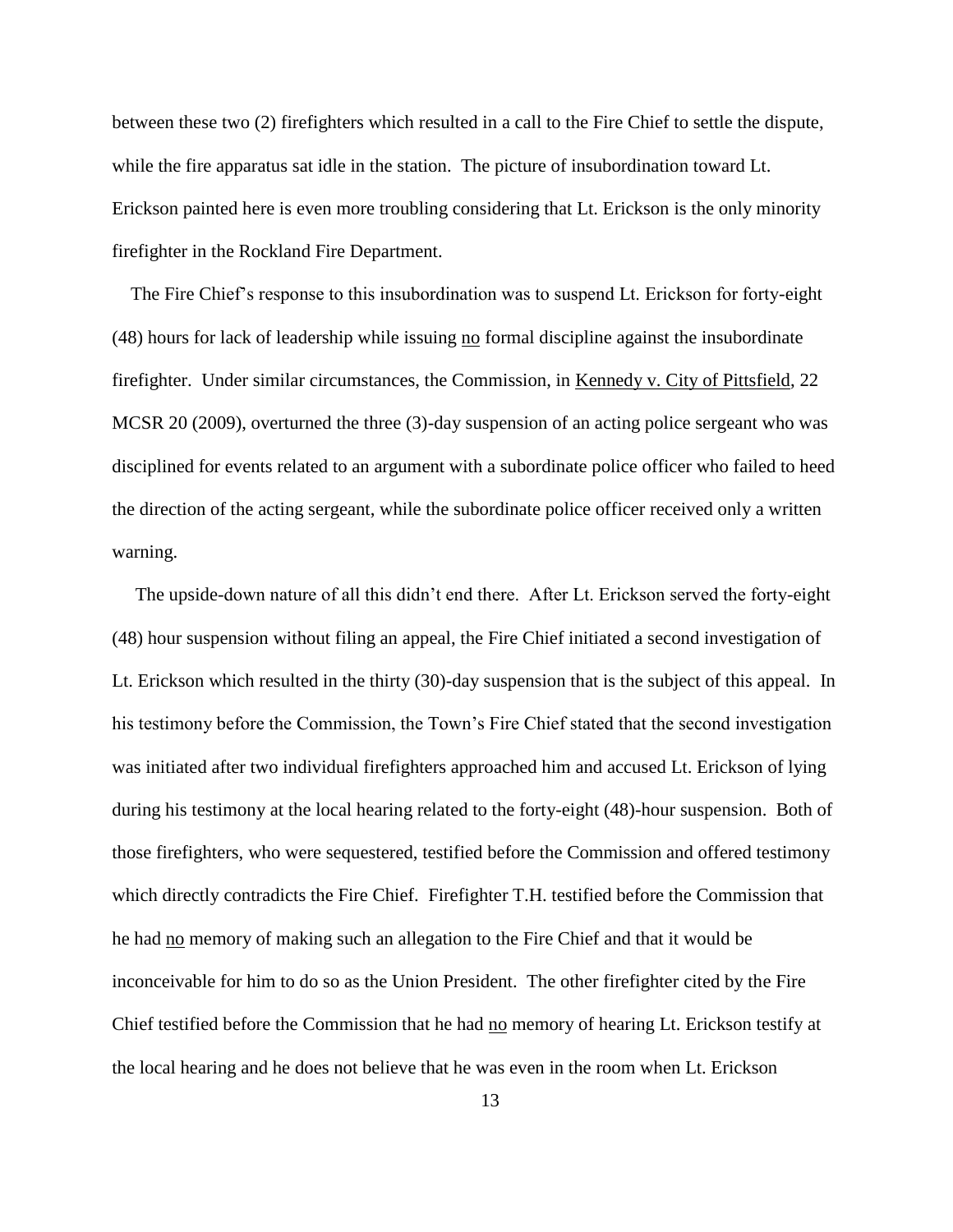between these two (2) firefighters which resulted in a call to the Fire Chief to settle the dispute, while the fire apparatus sat idle in the station. The picture of insubordination toward Lt. Erickson painted here is even more troubling considering that Lt. Erickson is the only minority firefighter in the Rockland Fire Department.

 The Fire Chief's response to this insubordination was to suspend Lt. Erickson for forty-eight (48) hours for lack of leadership while issuing no formal discipline against the insubordinate firefighter. Under similar circumstances, the Commission, in Kennedy v. City of Pittsfield, 22 MCSR 20 (2009), overturned the three (3)-day suspension of an acting police sergeant who was disciplined for events related to an argument with a subordinate police officer who failed to heed the direction of the acting sergeant, while the subordinate police officer received only a written warning.

 The upside-down nature of all this didn't end there. After Lt. Erickson served the forty-eight (48) hour suspension without filing an appeal, the Fire Chief initiated a second investigation of Lt. Erickson which resulted in the thirty (30)-day suspension that is the subject of this appeal. In his testimony before the Commission, the Town's Fire Chief stated that the second investigation was initiated after two individual firefighters approached him and accused Lt. Erickson of lying during his testimony at the local hearing related to the forty-eight (48)-hour suspension. Both of those firefighters, who were sequestered, testified before the Commission and offered testimony which directly contradicts the Fire Chief. Firefighter T.H. testified before the Commission that he had no memory of making such an allegation to the Fire Chief and that it would be inconceivable for him to do so as the Union President. The other firefighter cited by the Fire Chief testified before the Commission that he had no memory of hearing Lt. Erickson testify at the local hearing and he does not believe that he was even in the room when Lt. Erickson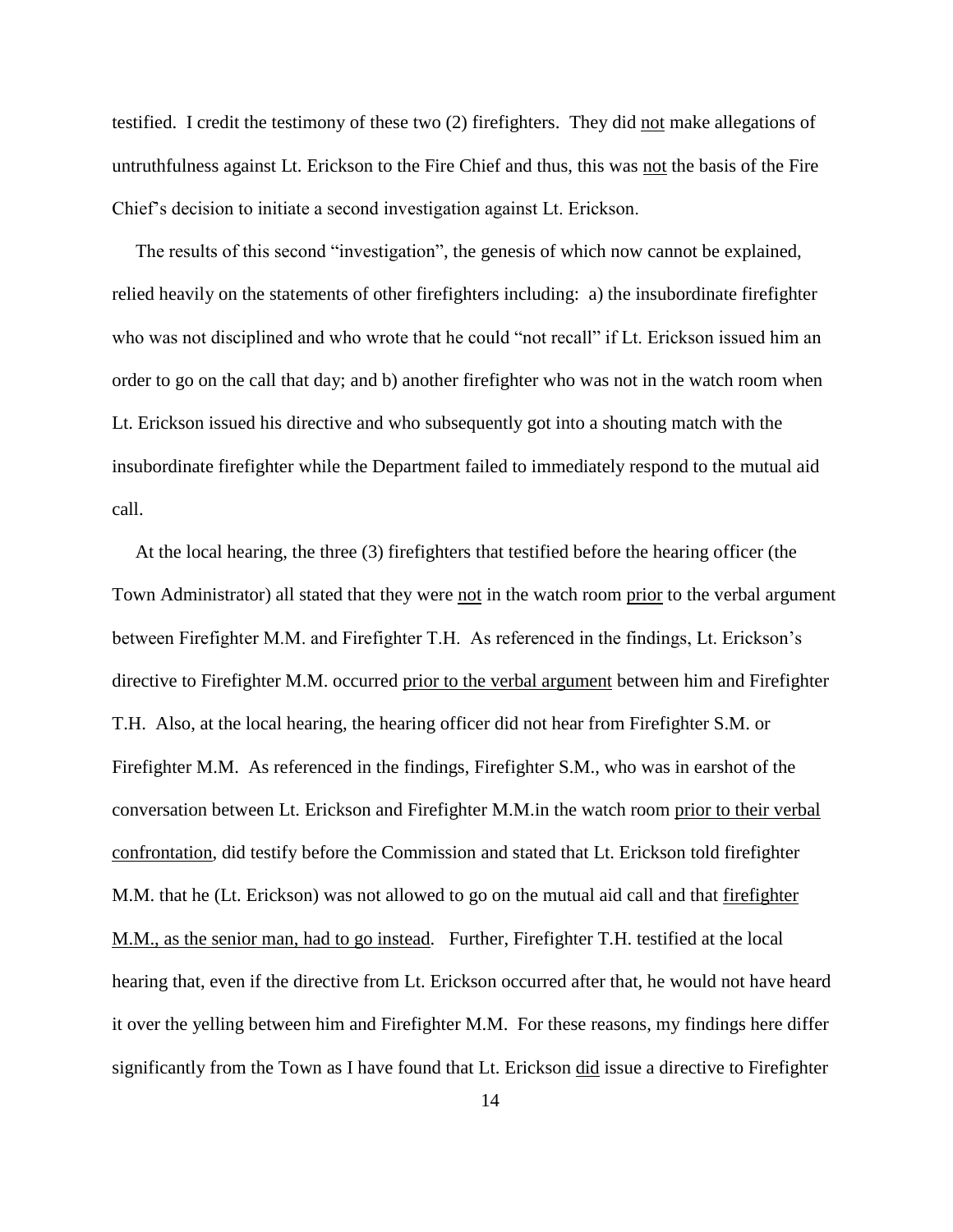testified. I credit the testimony of these two (2) firefighters. They did not make allegations of untruthfulness against Lt. Erickson to the Fire Chief and thus, this was not the basis of the Fire Chief's decision to initiate a second investigation against Lt. Erickson.

 The results of this second "investigation", the genesis of which now cannot be explained, relied heavily on the statements of other firefighters including: a) the insubordinate firefighter who was not disciplined and who wrote that he could "not recall" if Lt. Erickson issued him an order to go on the call that day; and b) another firefighter who was not in the watch room when Lt. Erickson issued his directive and who subsequently got into a shouting match with the insubordinate firefighter while the Department failed to immediately respond to the mutual aid call.

 At the local hearing, the three (3) firefighters that testified before the hearing officer (the Town Administrator) all stated that they were not in the watch room prior to the verbal argument between Firefighter M.M. and Firefighter T.H. As referenced in the findings, Lt. Erickson's directive to Firefighter M.M. occurred prior to the verbal argument between him and Firefighter T.H. Also, at the local hearing, the hearing officer did not hear from Firefighter S.M. or Firefighter M.M. As referenced in the findings, Firefighter S.M., who was in earshot of the conversation between Lt. Erickson and Firefighter M.M.in the watch room prior to their verbal confrontation, did testify before the Commission and stated that Lt. Erickson told firefighter M.M. that he (Lt. Erickson) was not allowed to go on the mutual aid call and that firefighter M.M., as the senior man, had to go instead. Further, Firefighter T.H. testified at the local hearing that, even if the directive from Lt. Erickson occurred after that, he would not have heard it over the yelling between him and Firefighter M.M. For these reasons, my findings here differ significantly from the Town as I have found that Lt. Erickson did issue a directive to Firefighter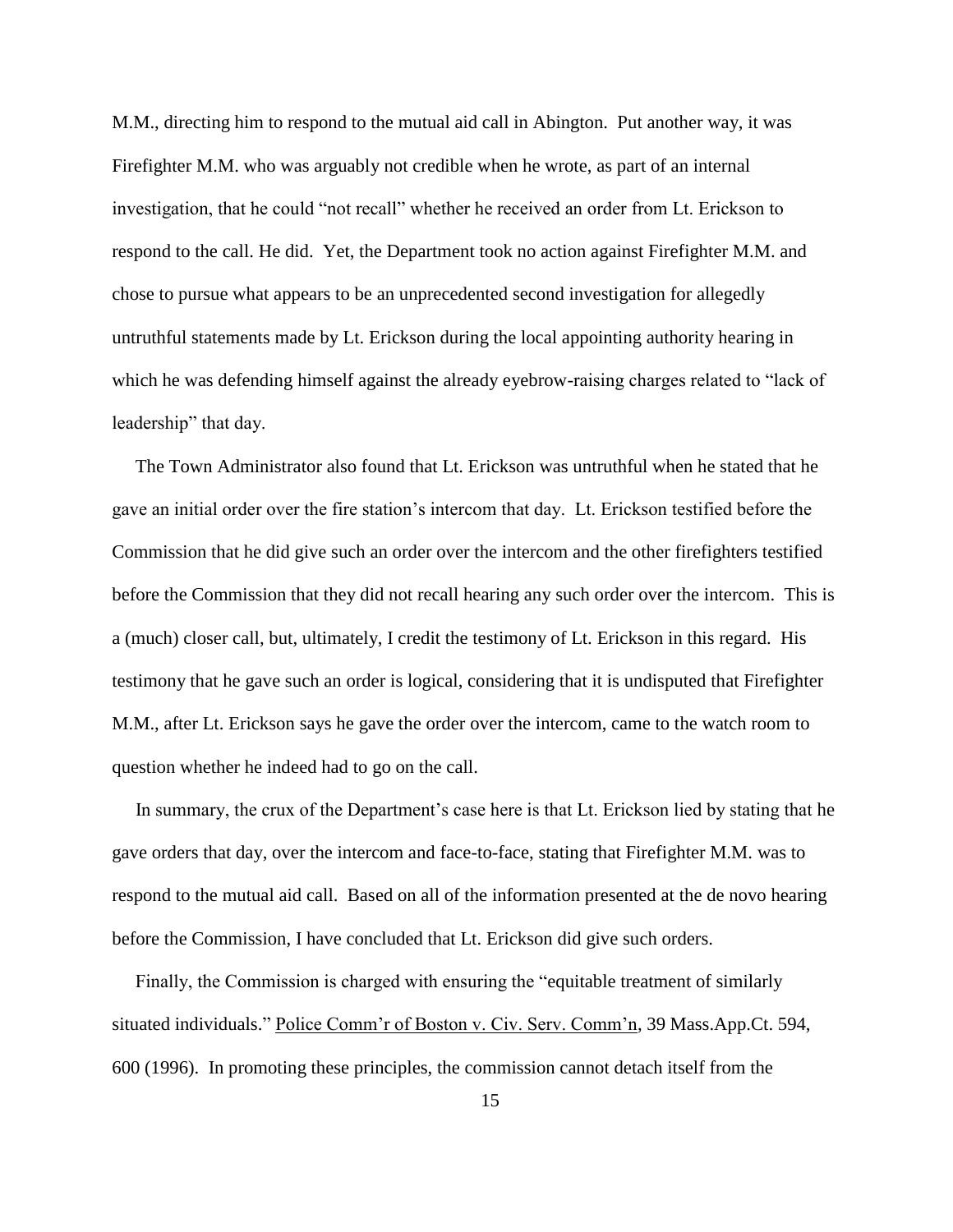M.M., directing him to respond to the mutual aid call in Abington. Put another way, it was Firefighter M.M. who was arguably not credible when he wrote, as part of an internal investigation, that he could "not recall" whether he received an order from Lt. Erickson to respond to the call. He did. Yet, the Department took no action against Firefighter M.M. and chose to pursue what appears to be an unprecedented second investigation for allegedly untruthful statements made by Lt. Erickson during the local appointing authority hearing in which he was defending himself against the already eyebrow-raising charges related to "lack of leadership" that day.

 The Town Administrator also found that Lt. Erickson was untruthful when he stated that he gave an initial order over the fire station's intercom that day. Lt. Erickson testified before the Commission that he did give such an order over the intercom and the other firefighters testified before the Commission that they did not recall hearing any such order over the intercom. This is a (much) closer call, but, ultimately, I credit the testimony of Lt. Erickson in this regard. His testimony that he gave such an order is logical, considering that it is undisputed that Firefighter M.M., after Lt. Erickson says he gave the order over the intercom, came to the watch room to question whether he indeed had to go on the call.

 In summary, the crux of the Department's case here is that Lt. Erickson lied by stating that he gave orders that day, over the intercom and face-to-face, stating that Firefighter M.M. was to respond to the mutual aid call. Based on all of the information presented at the de novo hearing before the Commission, I have concluded that Lt. Erickson did give such orders.

 Finally, the Commission is charged with ensuring the "equitable treatment of similarly situated individuals." Police Comm'r of Boston v. Civ. Serv. Comm'n, 39 Mass.App.Ct. 594, 600 (1996). In promoting these principles, the commission cannot detach itself from the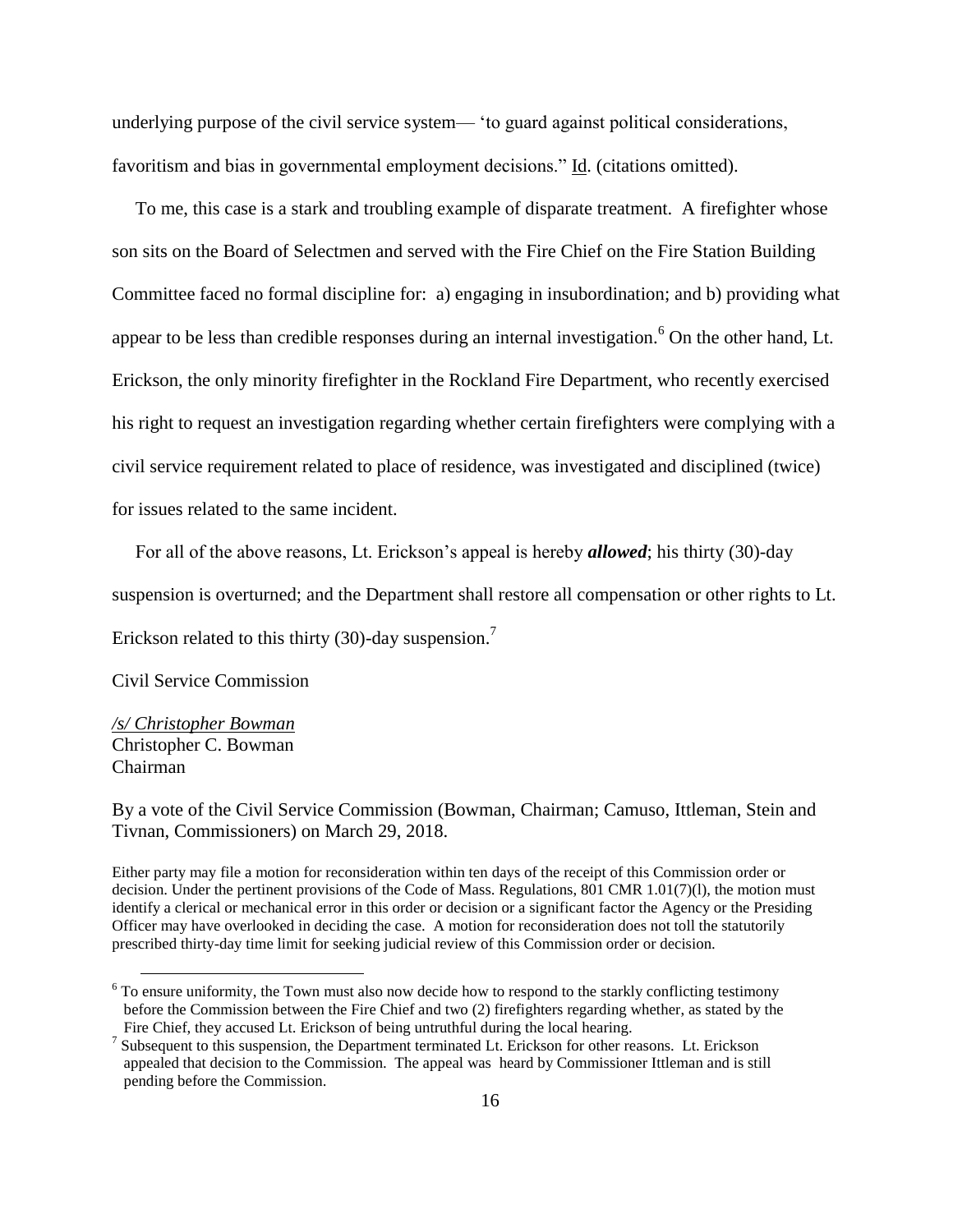underlying purpose of the civil service system— 'to guard against political considerations, favoritism and bias in governmental employment decisions." Id. (citations omitted).

 To me, this case is a stark and troubling example of disparate treatment. A firefighter whose son sits on the Board of Selectmen and served with the Fire Chief on the Fire Station Building Committee faced no formal discipline for: a) engaging in insubordination; and b) providing what appear to be less than credible responses during an internal investigation.<sup>6</sup> On the other hand, Lt. Erickson, the only minority firefighter in the Rockland Fire Department, who recently exercised his right to request an investigation regarding whether certain firefighters were complying with a civil service requirement related to place of residence, was investigated and disciplined (twice) for issues related to the same incident.

For all of the above reasons, Lt. Erickson's appeal is hereby *allowed*; his thirty (30)-day

suspension is overturned; and the Department shall restore all compensation or other rights to Lt.

Erickson related to this thirty (30)-day suspension.<sup>7</sup>

Civil Service Commission

*/s/ Christopher Bowman* Christopher C. Bowman Chairman

 $\overline{a}$ 

By a vote of the Civil Service Commission (Bowman, Chairman; Camuso, Ittleman, Stein and Tivnan, Commissioners) on March 29, 2018.

Either party may file a motion for reconsideration within ten days of the receipt of this Commission order or decision. Under the pertinent provisions of the Code of Mass. Regulations, 801 CMR 1.01(7)(1), the motion must identify a clerical or mechanical error in this order or decision or a significant factor the Agency or the Presiding Officer may have overlooked in deciding the case. A motion for reconsideration does not toll the statutorily prescribed thirty-day time limit for seeking judicial review of this Commission order or decision.

 $6$  To ensure uniformity, the Town must also now decide how to respond to the starkly conflicting testimony before the Commission between the Fire Chief and two (2) firefighters regarding whether, as stated by the Fire Chief, they accused Lt. Erickson of being untruthful during the local hearing.

<sup>&</sup>lt;sup>7</sup> Subsequent to this suspension, the Department terminated Lt. Erickson for other reasons. Lt. Erickson appealed that decision to the Commission. The appeal was heard by Commissioner Ittleman and is still pending before the Commission.